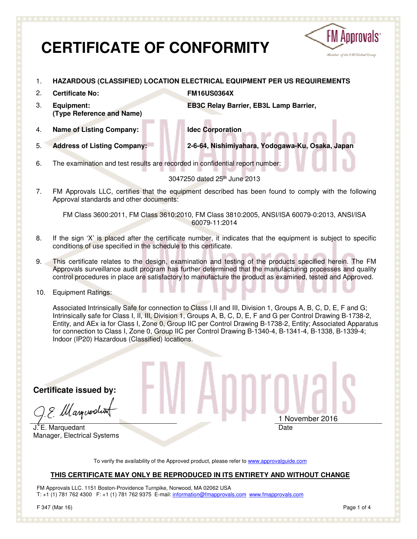# **CERTIFICATE OF CONFORMITY**



- 1. **HAZARDOUS (CLASSIFIED) LOCATION ELECTRICAL EQUIPMENT PER US REQUIREMENTS**
- 2. **Certificate No: FM16US0364X**  3. **Equipment: (Type Reference and Name) EB3C Relay Barrier, EB3L Lamp Barrier,**
- 

4. **Name of Listing Company: Idec Corporation** 

5. **Address of Listing Company: 2-6-64, Nishimiyahara, Yodogawa-Ku, Osaka, Japan** 

6. The examination and test results are recorded in confidential report number:

3047250 dated 25th June 2013

7. FM Approvals LLC, certifies that the equipment described has been found to comply with the following Approval standards and other documents:

FM Class 3600:2011, FM Class 3610:2010, FM Class 3810:2005, ANSI/ISA 60079-0:2013, ANSI/ISA 60079-11:2014

- 8. If the sign 'X' is placed after the certificate number, it indicates that the equipment is subject to specific conditions of use specified in the schedule to this certificate.
- 9. This certificate relates to the design, examination and testing of the products specified herein. The FM Approvals surveillance audit program has further determined that the manufacturing processes and quality control procedures in place are satisfactory to manufacture the product as examined, tested and Approved.
- 10. Equipment Ratings:

Associated Intrinsically Safe for connection to Class I,II and III, Division 1, Groups A, B, C, D, E, F and G; Intrinsically safe for Class I, II, III, Division 1, Groups A, B, C, D, E, F and G per Control Drawing B-1738-2, Entity, and AEx ia for Class I, Zone 0, Group IIC per Control Drawing B-1738-2, Entity; Associated Apparatus for connection to Class I, Zone 0, Group IIC per Control Drawing B-1340-4, B-1341-4, B-1338, B-1339-4; Indoor (IP20) Hazardous (Classified) locations.

**Certificate issued by:** 

E. Marguerdin

J. E. Marquedant Manager, Electrical Systems

1 November 2016 Date

To verify the availability of the Approved product, please refer to www.approvalguide.com

#### **THIS CERTIFICATE MAY ONLY BE REPRODUCED IN ITS ENTIRETY AND WITHOUT CHANGE**

FM Approvals LLC. 1151 Boston-Providence Turnpike, Norwood, MA 02062 USA T: +1 (1) 781 762 4300 F: +1 (1) 781 762 9375 E-mail: information@fmapprovals.com www.fmapprovals.com

F 347 (Mar 16) Page 1 of 4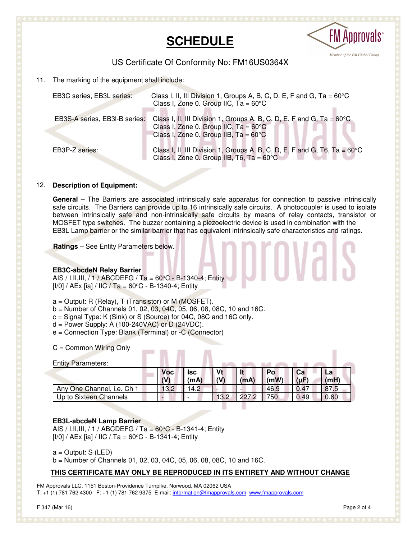



### US Certificate Of Conformity No: FM16US0364X

11. The marking of the equipment shall include:

| EB3C series, EB3L series:     | Class I, II, III Division 1, Groups A, B, C, D, E, F and G, Ta = $60^{\circ}$ C<br>Class I, Zone 0. Group IIC, $Ta = 60^{\circ}C$                                                   |
|-------------------------------|-------------------------------------------------------------------------------------------------------------------------------------------------------------------------------------|
| EB3S-A series, EB3I-B series: | Class I, II, III Division 1, Groups A, B, C, D, E, F and G, Ta = $60^{\circ}$ C<br>Class I, Zone 0. Group IIC, $Ta = 60^{\circ}C$<br>Class I, Zone 0. Group IIB, $Ta = 60^{\circ}C$ |
| EB3P-Z series:                | Class I, II, III Division 1, Groups A, B, C, D, E, F and G, T6, Ta = $60^{\circ}$ C<br>Class I, Zone 0. Group IIB, T6, Ta = $60^{\circ}$ C                                          |

#### 12. **Description of Equipment:**

**General** – The Barriers are associated intrinsically safe apparatus for connection to passive intrinsically safe circuits. The Barriers can provide up to 16 intrinsically safe circuits. A photocoupler is used to isolate between intrinsically safe and non-intrinsically safe circuits by means of relay contacts, transistor or MOSFET type switches. The buzzer containing a piezoelectric device is used in combination with the EB3L Lamp barrier or the similar barrier that has equivalent intrinsically safe characteristics and ratings.

**Ratings** – See Entity Parameters below.

#### **EB3C-abcdeN Relay Barrier**

AIS / I,II,III, / 1 / ABCDEFG / Ta =  $60^{\circ}$ C - B-1340-4; Entity  $[1/0]$  / AEx  $[ia]$  / IIC / Ta = 60°C - B-1340-4; Entity

- $a =$  Output: R (Relay), T (Transistor) or M (MOSFET).
- b = Number of Channels 01, 02, 03, 04C, 05, 06, 08, 08C, 10 and 16C.

---

- c = Signal Type: K (Sink) or S (Source) for 04C, 08C and 16C only.
- $d =$  Power Supply: A (100-240VAC) or D (24VDC).
- e = Connection Type: Blank (Terminal) or -C (Connector)

C = Common Wiring Only

| <b>Entity Parameters:</b>  | <b>Voc</b> | <b>Isc</b> |      |     | Po   | Сa        | La   |
|----------------------------|------------|------------|------|-----|------|-----------|------|
|                            | (V)        | (mA)       | (V)  | (mA | (mW) | $(\mu F)$ | (mH) |
| Any One Channel, i.e. Ch 1 | 13.2       | 14.2       |      |     | 46.9 | 0.47      | 87.5 |
| Up to Sixteen Channels     |            |            | 13.2 | 227 | 750  | 0.49      | 0.60 |

**COL** 

#### **EB3L-abcdeN Lamp Barrier**

AIS / I, II, III, / 1 / ABCDEFG / Ta =  $60^{\circ}$ C - B-1341-4; Entity  $[1/0]$  / AEx  $[ia]$  / IIC / Ta = 60 $^{\circ}$ C - B-1341-4; Entity

 $a =$  Output: S (LED)

b = Number of Channels 01, 02, 03, 04C, 05, 06, 08, 08C, 10 and 16C.

#### **THIS CERTIFICATE MAY ONLY BE REPRODUCED IN ITS ENTIRETY AND WITHOUT CHANGE**

FM Approvals LLC. 1151 Boston-Providence Turnpike, Norwood, MA 02062 USA T: +1 (1) 781 762 4300 F: +1 (1) 781 762 9375 E-mail: information@fmapprovals.com www.fmapprovals.com ш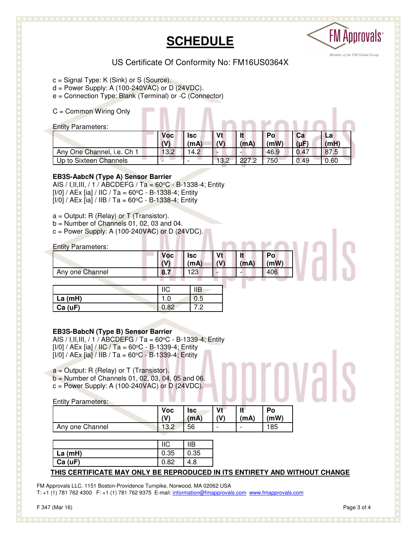# **SCHEDULE**



## US Certificate Of Conformity No: FM16US0364X

c = Signal Type: K (Sink) or S (Source).

 $d = Power$  Supply: A (100-240VAC) or D (24VDC).

e = Connection Type: Blank (Terminal) or -C (Connector)

C = Common Wiring Only

| <b>Entity Parameters:</b>  |                   |             |           |       |             |                 |            |
|----------------------------|-------------------|-------------|-----------|-------|-------------|-----------------|------------|
|                            | <b>Voc</b><br>(V) | lsc<br>(mA) | Vt<br>(V) | (mA   | `Po<br>(mW) | Ca<br>$(\mu F)$ | La<br>(mH) |
| Any One Channel, i.e. Ch 1 | 13.2              | 4.2         |           |       | 46.9        | 0.47            | 87.5       |
| Up to Sixteen Channels     |                   |             | 3.2       | ר דרר | 750         | 0.49            | 0.60       |

#### **EB3S-AabcN (Type A) Sensor Barrier**

AIS / I, II, III, / 1 / ABCDEFG / Ta =  $60^{\circ}$ C - B-1338-4; Entity  $[1/0]$  / AEx  $[ia]$  / IIC / Ta = 60 $^{\circ}$ C - B-1338-4; Entity  $[1/0] / AEx$  [ia] / IIB / Ta = 60°C - B-1338-4; Entity

 $a =$  Output: R (Relay) or T (Transistor).

 $b =$  Number of Channels 01, 02, 03 and 04.

 $c = Power$  Supply: A (100-240VAC) or D (24VDC).

| <b>Entity Parameters:</b> |            |            |               |      |      |
|---------------------------|------------|------------|---------------|------|------|
|                           | <b>Voc</b> | <b>Isc</b> | V۱            |      | Po   |
|                           | (1)        | (mA)       | $\mathcal{U}$ | (mA) | (mW) |
| Any one Channel           | 8.7        | -23        |               |      | 406  |

|             | <b>IIC</b> | IІB |
|-------------|------------|-----|
| $ $ La (mH) |            | 0.5 |
| Ca(UF)      | .82        | .2  |

#### **EB3S-BabcN (Type B) Sensor Barrier**

AIS / I, II, III, / 1 / ABCDEFG / Ta =  $60^{\circ}$ C - B-1339-4; Entity [I/0] / AEx [ia] / IIC / Ta = 60°C - B-1339-4; Entity  $[1/0] / AEx$  [ia] / IIB / Ta = 60°C - B-1339-4; Entity

 $a =$  Output: R (Relay) or T (Transistor).

- $b =$  Number of Channels 01, 02, 03, 04, 05 and 06.
- $c = Power$  Supply: A (100-240VAC) or D (24VDC).

Entity Parameters:

|                 | <b>Voc</b>  | <b>Isc</b> | Vt                       | н                        | Po  |
|-----------------|-------------|------------|--------------------------|--------------------------|-----|
|                 | ۸W          | (mA)       | (V)                      | (mA)                     | (mW |
| Any one Channel | 100<br>ے.טו | 56         | $\overline{\phantom{0}}$ | $\overline{\phantom{0}}$ | 185 |

|         |      | IIВ  |
|---------|------|------|
| La (mH) | 0.35 | 0.35 |
| Ca (uF) | 82   |      |

#### **THIS CERTIFICATE MAY ONLY BE REPRODUCED IN ITS ENTIRETY AND WITHOUT CHANGE**

FM Approvals LLC. 1151 Boston-Providence Turnpike, Norwood, MA 02062 USA T: +1 (1) 781 762 4300 F: +1 (1) 781 762 9375 E-mail: information@fmapprovals.com www.fmapprovals.com

orovals